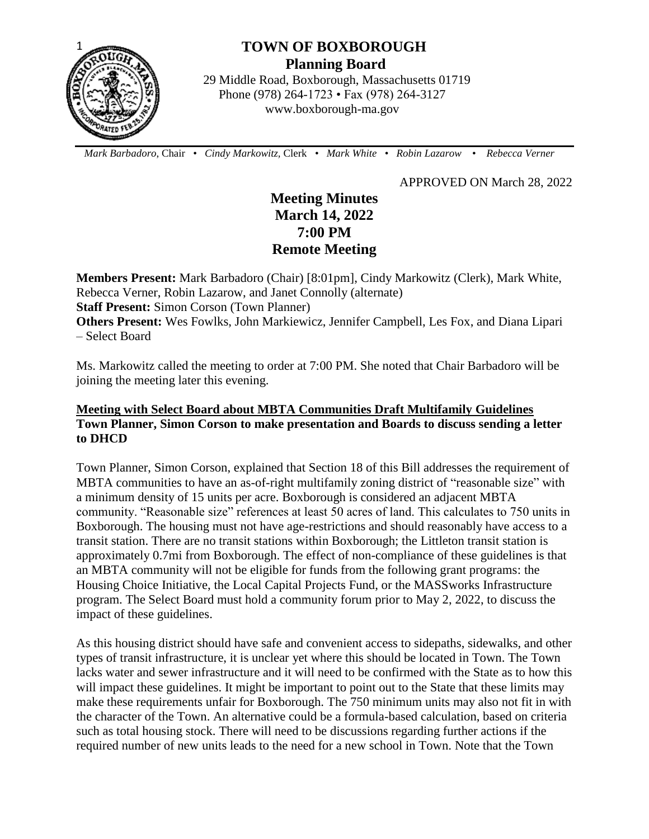

# **TOWN OF BOXBOROUGH Planning Board**

 29 Middle Road, Boxborough, Massachusetts 01719 Phone (978) 264-1723 • Fax (978) 264-3127 www.boxborough-ma.gov

 *Mark Barbadoro*, Chair • *Cindy Markowitz,* Clerk • *Mark White* • *Robin Lazarow* • *Rebecca Verner*

APPROVED ON March 28, 2022

## **Meeting Minutes March 14, 2022 7:00 PM Remote Meeting**

**Members Present:** Mark Barbadoro (Chair) [8:01pm], Cindy Markowitz (Clerk), Mark White, Rebecca Verner, Robin Lazarow, and Janet Connolly (alternate) **Staff Present:** Simon Corson (Town Planner) **Others Present:** Wes Fowlks, John Markiewicz, Jennifer Campbell, Les Fox, and Diana Lipari – Select Board

Ms. Markowitz called the meeting to order at 7:00 PM. She noted that Chair Barbadoro will be joining the meeting later this evening.

## **Meeting with Select Board about MBTA Communities Draft Multifamily Guidelines Town Planner, Simon Corson to make presentation and Boards to discuss sending a letter to DHCD**

Town Planner, Simon Corson, explained that Section 18 of this Bill addresses the requirement of MBTA communities to have an as-of-right multifamily zoning district of "reasonable size" with a minimum density of 15 units per acre. Boxborough is considered an adjacent MBTA community. "Reasonable size" references at least 50 acres of land. This calculates to 750 units in Boxborough. The housing must not have age-restrictions and should reasonably have access to a transit station. There are no transit stations within Boxborough; the Littleton transit station is approximately 0.7mi from Boxborough. The effect of non-compliance of these guidelines is that an MBTA community will not be eligible for funds from the following grant programs: the Housing Choice Initiative, the Local Capital Projects Fund, or the MASSworks Infrastructure program. The Select Board must hold a community forum prior to May 2, 2022, to discuss the impact of these guidelines.

As this housing district should have safe and convenient access to sidepaths, sidewalks, and other types of transit infrastructure, it is unclear yet where this should be located in Town. The Town lacks water and sewer infrastructure and it will need to be confirmed with the State as to how this will impact these guidelines. It might be important to point out to the State that these limits may make these requirements unfair for Boxborough. The 750 minimum units may also not fit in with the character of the Town. An alternative could be a formula-based calculation, based on criteria such as total housing stock. There will need to be discussions regarding further actions if the required number of new units leads to the need for a new school in Town. Note that the Town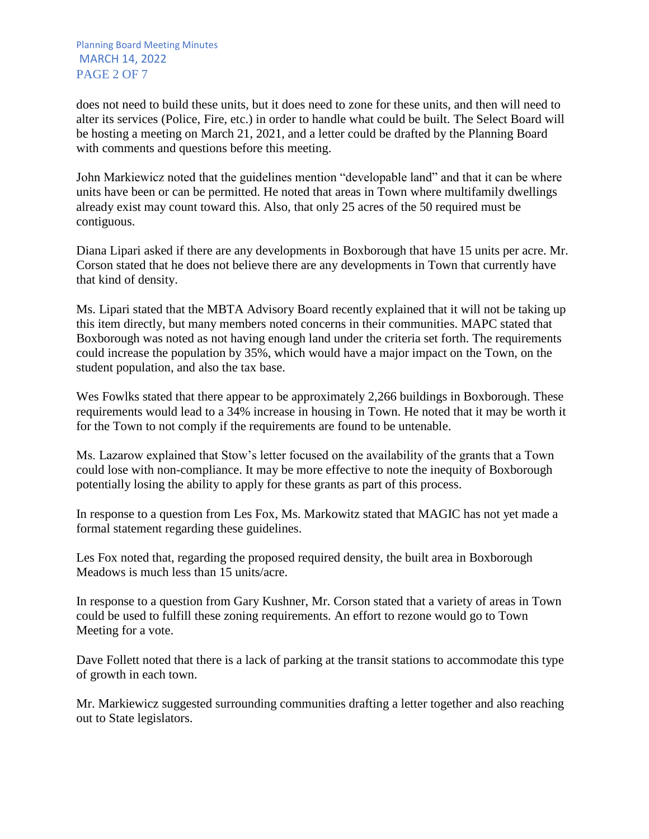Planning Board Meeting Minutes MARCH 14, 2022 PAGE 2 OF 7

does not need to build these units, but it does need to zone for these units, and then will need to alter its services (Police, Fire, etc.) in order to handle what could be built. The Select Board will be hosting a meeting on March 21, 2021, and a letter could be drafted by the Planning Board with comments and questions before this meeting.

John Markiewicz noted that the guidelines mention "developable land" and that it can be where units have been or can be permitted. He noted that areas in Town where multifamily dwellings already exist may count toward this. Also, that only 25 acres of the 50 required must be contiguous.

Diana Lipari asked if there are any developments in Boxborough that have 15 units per acre. Mr. Corson stated that he does not believe there are any developments in Town that currently have that kind of density.

Ms. Lipari stated that the MBTA Advisory Board recently explained that it will not be taking up this item directly, but many members noted concerns in their communities. MAPC stated that Boxborough was noted as not having enough land under the criteria set forth. The requirements could increase the population by 35%, which would have a major impact on the Town, on the student population, and also the tax base.

Wes Fowlks stated that there appear to be approximately 2,266 buildings in Boxborough. These requirements would lead to a 34% increase in housing in Town. He noted that it may be worth it for the Town to not comply if the requirements are found to be untenable.

Ms. Lazarow explained that Stow's letter focused on the availability of the grants that a Town could lose with non-compliance. It may be more effective to note the inequity of Boxborough potentially losing the ability to apply for these grants as part of this process.

In response to a question from Les Fox, Ms. Markowitz stated that MAGIC has not yet made a formal statement regarding these guidelines.

Les Fox noted that, regarding the proposed required density, the built area in Boxborough Meadows is much less than 15 units/acre.

In response to a question from Gary Kushner, Mr. Corson stated that a variety of areas in Town could be used to fulfill these zoning requirements. An effort to rezone would go to Town Meeting for a vote.

Dave Follett noted that there is a lack of parking at the transit stations to accommodate this type of growth in each town.

Mr. Markiewicz suggested surrounding communities drafting a letter together and also reaching out to State legislators.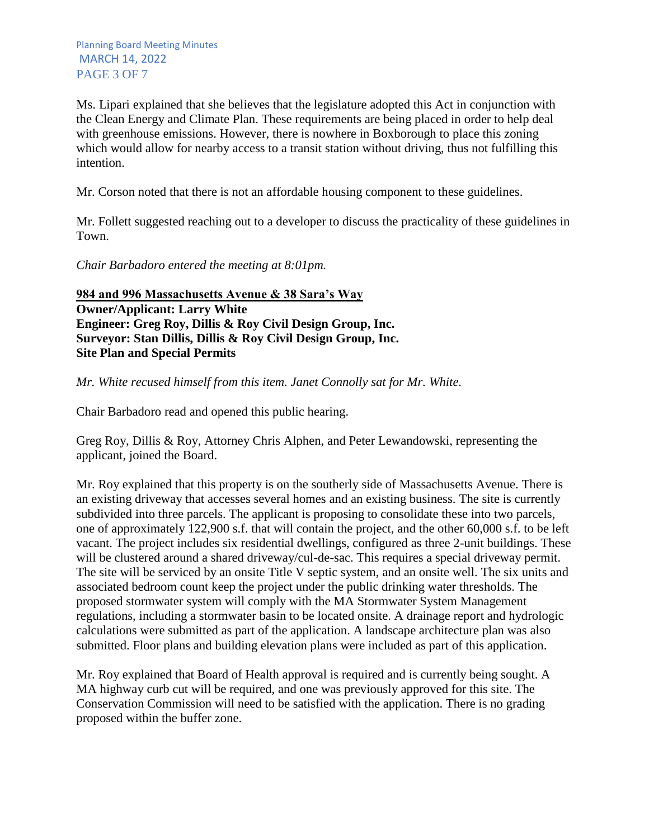Ms. Lipari explained that she believes that the legislature adopted this Act in conjunction with the Clean Energy and Climate Plan. These requirements are being placed in order to help deal with greenhouse emissions. However, there is nowhere in Boxborough to place this zoning which would allow for nearby access to a transit station without driving, thus not fulfilling this intention.

Mr. Corson noted that there is not an affordable housing component to these guidelines.

Mr. Follett suggested reaching out to a developer to discuss the practicality of these guidelines in Town.

*Chair Barbadoro entered the meeting at 8:01pm.* 

**984 and 996 Massachusetts Avenue & 38 Sara's Way Owner/Applicant: Larry White Engineer: Greg Roy, Dillis & Roy Civil Design Group, Inc. Surveyor: Stan Dillis, Dillis & Roy Civil Design Group, Inc. Site Plan and Special Permits** 

*Mr. White recused himself from this item. Janet Connolly sat for Mr. White.*

Chair Barbadoro read and opened this public hearing.

Greg Roy, Dillis & Roy, Attorney Chris Alphen, and Peter Lewandowski, representing the applicant, joined the Board.

Mr. Roy explained that this property is on the southerly side of Massachusetts Avenue. There is an existing driveway that accesses several homes and an existing business. The site is currently subdivided into three parcels. The applicant is proposing to consolidate these into two parcels, one of approximately 122,900 s.f. that will contain the project, and the other 60,000 s.f. to be left vacant. The project includes six residential dwellings, configured as three 2-unit buildings. These will be clustered around a shared driveway/cul-de-sac. This requires a special driveway permit. The site will be serviced by an onsite Title V septic system, and an onsite well. The six units and associated bedroom count keep the project under the public drinking water thresholds. The proposed stormwater system will comply with the MA Stormwater System Management regulations, including a stormwater basin to be located onsite. A drainage report and hydrologic calculations were submitted as part of the application. A landscape architecture plan was also submitted. Floor plans and building elevation plans were included as part of this application.

Mr. Roy explained that Board of Health approval is required and is currently being sought. A MA highway curb cut will be required, and one was previously approved for this site. The Conservation Commission will need to be satisfied with the application. There is no grading proposed within the buffer zone.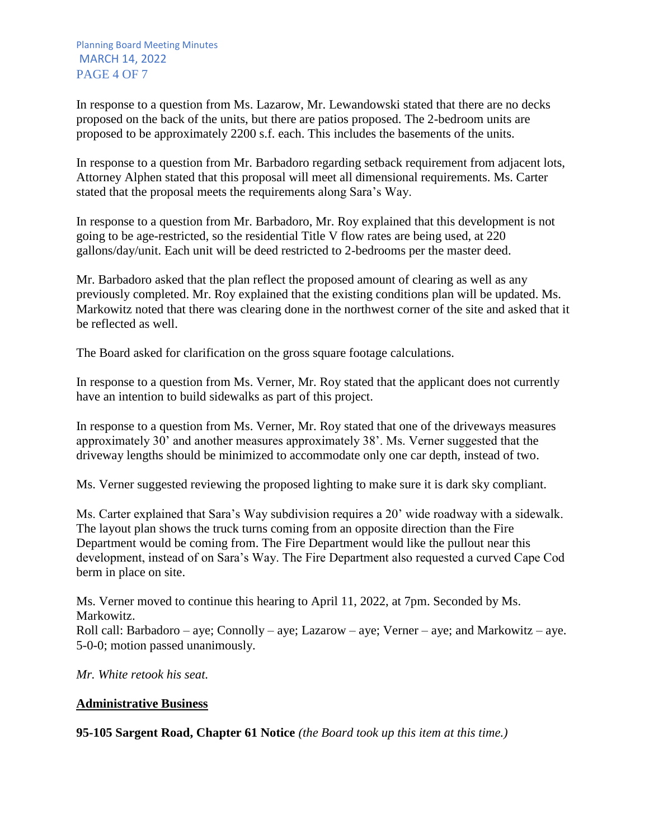In response to a question from Ms. Lazarow, Mr. Lewandowski stated that there are no decks proposed on the back of the units, but there are patios proposed. The 2-bedroom units are proposed to be approximately 2200 s.f. each. This includes the basements of the units.

In response to a question from Mr. Barbadoro regarding setback requirement from adjacent lots, Attorney Alphen stated that this proposal will meet all dimensional requirements. Ms. Carter stated that the proposal meets the requirements along Sara's Way.

In response to a question from Mr. Barbadoro, Mr. Roy explained that this development is not going to be age-restricted, so the residential Title V flow rates are being used, at 220 gallons/day/unit. Each unit will be deed restricted to 2-bedrooms per the master deed.

Mr. Barbadoro asked that the plan reflect the proposed amount of clearing as well as any previously completed. Mr. Roy explained that the existing conditions plan will be updated. Ms. Markowitz noted that there was clearing done in the northwest corner of the site and asked that it be reflected as well.

The Board asked for clarification on the gross square footage calculations.

In response to a question from Ms. Verner, Mr. Roy stated that the applicant does not currently have an intention to build sidewalks as part of this project.

In response to a question from Ms. Verner, Mr. Roy stated that one of the driveways measures approximately 30' and another measures approximately 38'. Ms. Verner suggested that the driveway lengths should be minimized to accommodate only one car depth, instead of two.

Ms. Verner suggested reviewing the proposed lighting to make sure it is dark sky compliant.

Ms. Carter explained that Sara's Way subdivision requires a 20' wide roadway with a sidewalk. The layout plan shows the truck turns coming from an opposite direction than the Fire Department would be coming from. The Fire Department would like the pullout near this development, instead of on Sara's Way. The Fire Department also requested a curved Cape Cod berm in place on site.

Ms. Verner moved to continue this hearing to April 11, 2022, at 7pm. Seconded by Ms. Markowitz. Roll call: Barbadoro – aye; Connolly – aye; Lazarow – aye; Verner – aye; and Markowitz – aye. 5-0-0; motion passed unanimously.

*Mr. White retook his seat.*

## **Administrative Business**

**95-105 Sargent Road, Chapter 61 Notice** *(the Board took up this item at this time.)*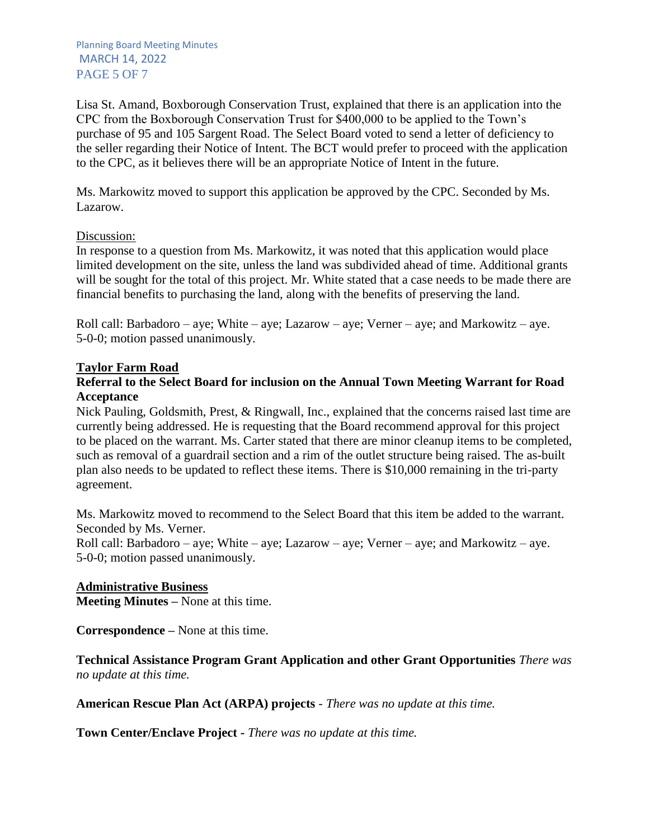Planning Board Meeting Minutes MARCH 14, 2022 PAGE 5 OF 7

Lisa St. Amand, Boxborough Conservation Trust, explained that there is an application into the CPC from the Boxborough Conservation Trust for \$400,000 to be applied to the Town's purchase of 95 and 105 Sargent Road. The Select Board voted to send a letter of deficiency to the seller regarding their Notice of Intent. The BCT would prefer to proceed with the application to the CPC, as it believes there will be an appropriate Notice of Intent in the future.

Ms. Markowitz moved to support this application be approved by the CPC. Seconded by Ms. Lazarow.

### Discussion:

In response to a question from Ms. Markowitz, it was noted that this application would place limited development on the site, unless the land was subdivided ahead of time. Additional grants will be sought for the total of this project. Mr. White stated that a case needs to be made there are financial benefits to purchasing the land, along with the benefits of preserving the land.

Roll call: Barbadoro – aye; White – aye; Lazarow – aye; Verner – aye; and Markowitz – aye. 5-0-0; motion passed unanimously.

### **Taylor Farm Road**

### **Referral to the Select Board for inclusion on the Annual Town Meeting Warrant for Road Acceptance**

Nick Pauling, Goldsmith, Prest, & Ringwall, Inc., explained that the concerns raised last time are currently being addressed. He is requesting that the Board recommend approval for this project to be placed on the warrant. Ms. Carter stated that there are minor cleanup items to be completed, such as removal of a guardrail section and a rim of the outlet structure being raised. The as-built plan also needs to be updated to reflect these items. There is \$10,000 remaining in the tri-party agreement.

Ms. Markowitz moved to recommend to the Select Board that this item be added to the warrant. Seconded by Ms. Verner.

Roll call: Barbadoro – aye; White – aye; Lazarow – aye; Verner – aye; and Markowitz – aye. 5-0-0; motion passed unanimously.

### **Administrative Business**

**Meeting Minutes –** None at this time.

**Correspondence –** None at this time.

**Technical Assistance Program Grant Application and other Grant Opportunities** *There was no update at this time.*

**American Rescue Plan Act (ARPA) projects** *- There was no update at this time.*

**Town Center/Enclave Project -** *There was no update at this time.*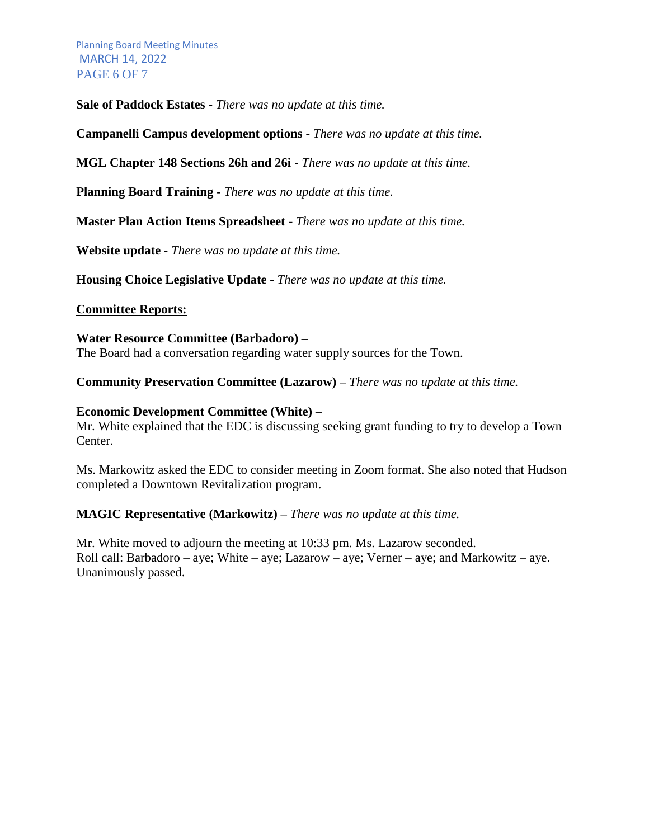Planning Board Meeting Minutes MARCH 14, 2022 PAGE 6 OF 7

**Sale of Paddock Estates** *- There was no update at this time.*

**Campanelli Campus development options -** *There was no update at this time.*

**MGL Chapter 148 Sections 26h and 26i** - *There was no update at this time.*

**Planning Board Training -** *There was no update at this time.*

**Master Plan Action Items Spreadsheet** - *There was no update at this time.*

**Website update** *- There was no update at this time.*

**Housing Choice Legislative Update** - *There was no update at this time.*

#### **Committee Reports:**

#### **Water Resource Committee (Barbadoro) –**

The Board had a conversation regarding water supply sources for the Town.

**Community Preservation Committee (Lazarow) –** *There was no update at this time.*

#### **Economic Development Committee (White) –**

Mr. White explained that the EDC is discussing seeking grant funding to try to develop a Town Center.

Ms. Markowitz asked the EDC to consider meeting in Zoom format. She also noted that Hudson completed a Downtown Revitalization program.

### **MAGIC Representative (Markowitz) –** *There was no update at this time.*

Mr. White moved to adjourn the meeting at 10:33 pm. Ms. Lazarow seconded. Roll call: Barbadoro – aye; White – aye; Lazarow – aye; Verner – aye; and Markowitz – aye. Unanimously passed.